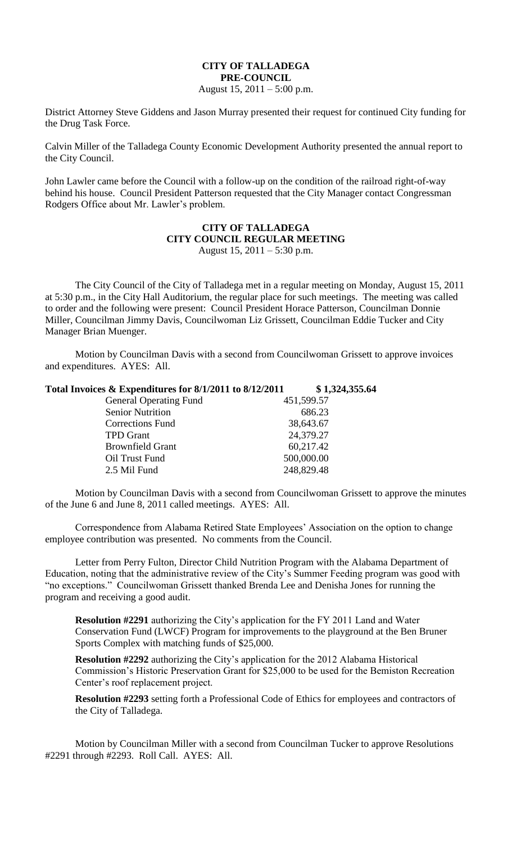## **CITY OF TALLADEGA PRE-COUNCIL**

August 15,  $2011 - 5:00$  p.m.

District Attorney Steve Giddens and Jason Murray presented their request for continued City funding for the Drug Task Force.

Calvin Miller of the Talladega County Economic Development Authority presented the annual report to the City Council.

John Lawler came before the Council with a follow-up on the condition of the railroad right-of-way behind his house. Council President Patterson requested that the City Manager contact Congressman Rodgers Office about Mr. Lawler's problem.

## **CITY OF TALLADEGA CITY COUNCIL REGULAR MEETING** August 15, 2011 – 5:30 p.m.

The City Council of the City of Talladega met in a regular meeting on Monday, August 15, 2011 at 5:30 p.m., in the City Hall Auditorium, the regular place for such meetings. The meeting was called to order and the following were present: Council President Horace Patterson, Councilman Donnie Miller, Councilman Jimmy Davis, Councilwoman Liz Grissett, Councilman Eddie Tucker and City Manager Brian Muenger.

Motion by Councilman Davis with a second from Councilwoman Grissett to approve invoices and expenditures. AYES: All.

| Total Invoices & Expenditures for 8/1/2011 to 8/12/2011 | \$1,324,355.64 |
|---------------------------------------------------------|----------------|
| <b>General Operating Fund</b>                           | 451,599.57     |
| <b>Senior Nutrition</b>                                 | 686.23         |
| Corrections Fund                                        | 38,643.67      |
| <b>TPD</b> Grant                                        | 24,379.27      |
| <b>Brownfield Grant</b>                                 | 60,217.42      |
| Oil Trust Fund                                          | 500,000.00     |
| 2.5 Mil Fund                                            | 248,829.48     |

Motion by Councilman Davis with a second from Councilwoman Grissett to approve the minutes of the June 6 and June 8, 2011 called meetings. AYES: All.

Correspondence from Alabama Retired State Employees' Association on the option to change employee contribution was presented. No comments from the Council.

Letter from Perry Fulton, Director Child Nutrition Program with the Alabama Department of Education, noting that the administrative review of the City's Summer Feeding program was good with "no exceptions." Councilwoman Grissett thanked Brenda Lee and Denisha Jones for running the program and receiving a good audit.

**Resolution #2291** authorizing the City's application for the FY 2011 Land and Water Conservation Fund (LWCF) Program for improvements to the playground at the Ben Bruner Sports Complex with matching funds of \$25,000.

**Resolution #2292** authorizing the City's application for the 2012 Alabama Historical Commission's Historic Preservation Grant for \$25,000 to be used for the Bemiston Recreation Center's roof replacement project.

**Resolution #2293** setting forth a Professional Code of Ethics for employees and contractors of the City of Talladega.

Motion by Councilman Miller with a second from Councilman Tucker to approve Resolutions #2291 through #2293. Roll Call. AYES: All.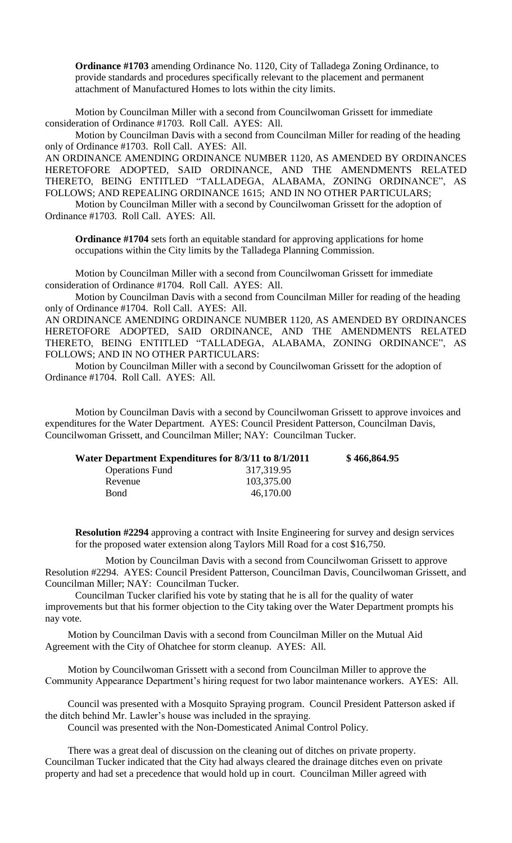**Ordinance #1703** amending Ordinance No. 1120, City of Talladega Zoning Ordinance, to provide standards and procedures specifically relevant to the placement and permanent attachment of Manufactured Homes to lots within the city limits.

Motion by Councilman Miller with a second from Councilwoman Grissett for immediate consideration of Ordinance #1703. Roll Call. AYES: All.

Motion by Councilman Davis with a second from Councilman Miller for reading of the heading only of Ordinance #1703. Roll Call. AYES: All.

AN ORDINANCE AMENDING ORDINANCE NUMBER 1120, AS AMENDED BY ORDINANCES HERETOFORE ADOPTED, SAID ORDINANCE, AND THE AMENDMENTS RELATED THERETO, BEING ENTITLED "TALLADEGA, ALABAMA, ZONING ORDINANCE", AS FOLLOWS; AND REPEALING ORDINANCE 1615; AND IN NO OTHER PARTICULARS;

Motion by Councilman Miller with a second by Councilwoman Grissett for the adoption of Ordinance #1703. Roll Call. AYES: All.

**Ordinance #1704** sets forth an equitable standard for approving applications for home occupations within the City limits by the Talladega Planning Commission.

Motion by Councilman Miller with a second from Councilwoman Grissett for immediate consideration of Ordinance #1704. Roll Call. AYES: All.

Motion by Councilman Davis with a second from Councilman Miller for reading of the heading only of Ordinance #1704. Roll Call. AYES: All.

AN ORDINANCE AMENDING ORDINANCE NUMBER 1120, AS AMENDED BY ORDINANCES HERETOFORE ADOPTED, SAID ORDINANCE, AND THE AMENDMENTS RELATED THERETO, BEING ENTITLED "TALLADEGA, ALABAMA, ZONING ORDINANCE", AS FOLLOWS; AND IN NO OTHER PARTICULARS:

Motion by Councilman Miller with a second by Councilwoman Grissett for the adoption of Ordinance #1704. Roll Call. AYES: All.

Motion by Councilman Davis with a second by Councilwoman Grissett to approve invoices and expenditures for the Water Department. AYES: Council President Patterson, Councilman Davis, Councilwoman Grissett, and Councilman Miller; NAY: Councilman Tucker.

| Water Department Expenditures for 8/3/11 to 8/1/2011 | \$466,864.95 |
|------------------------------------------------------|--------------|
| 317,319.95                                           |              |
| 103,375.00                                           |              |
| 46,170.00                                            |              |
|                                                      |              |

**Resolution #2294** approving a contract with Insite Engineering for survey and design services for the proposed water extension along Taylors Mill Road for a cost \$16,750.

Motion by Councilman Davis with a second from Councilwoman Grissett to approve Resolution #2294. AYES: Council President Patterson, Councilman Davis, Councilwoman Grissett, and Councilman Miller; NAY: Councilman Tucker.

Councilman Tucker clarified his vote by stating that he is all for the quality of water improvements but that his former objection to the City taking over the Water Department prompts his nay vote.

Motion by Councilman Davis with a second from Councilman Miller on the Mutual Aid Agreement with the City of Ohatchee for storm cleanup. AYES: All.

Motion by Councilwoman Grissett with a second from Councilman Miller to approve the Community Appearance Department's hiring request for two labor maintenance workers. AYES: All.

Council was presented with a Mosquito Spraying program. Council President Patterson asked if the ditch behind Mr. Lawler's house was included in the spraying.

Council was presented with the Non-Domesticated Animal Control Policy.

There was a great deal of discussion on the cleaning out of ditches on private property. Councilman Tucker indicated that the City had always cleared the drainage ditches even on private property and had set a precedence that would hold up in court. Councilman Miller agreed with